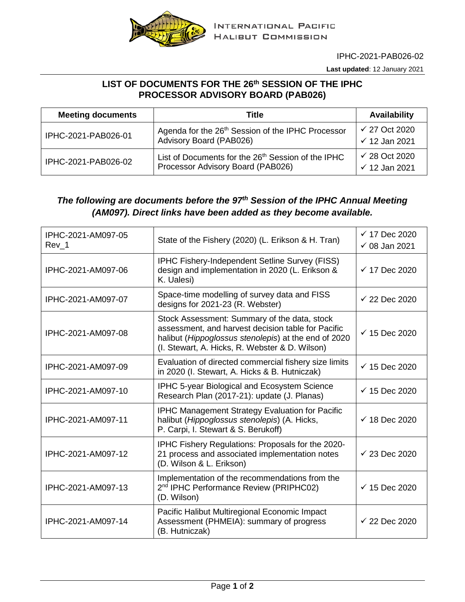

IPHC-2021-PAB026-02

**Last updated**: 12 January 2021

## **LIST OF DOCUMENTS FOR THE 26th SESSION OF THE IPHC PROCESSOR ADVISORY BOARD (PAB026)**

| <b>Meeting documents</b> | Title                                                                                               | <b>Availability</b>                                  |
|--------------------------|-----------------------------------------------------------------------------------------------------|------------------------------------------------------|
| IPHC-2021-PAB026-01      | Agenda for the 26 <sup>th</sup> Session of the IPHC Processor<br>Advisory Board (PAB026)            | $\checkmark$ 27 Oct 2020<br>$\checkmark$ 12 Jan 2021 |
| IPHC-2021-PAB026-02      | List of Documents for the 26 <sup>th</sup> Session of the IPHC<br>Processor Advisory Board (PAB026) | $\checkmark$ 28 Oct 2020<br>$\checkmark$ 12 Jan 2021 |

## *The following are documents before the 97th Session of the IPHC Annual Meeting (AM097). Direct links have been added as they become available.*

| IPHC-2021-AM097-05<br>Rev 1 | State of the Fishery (2020) (L. Erikson & H. Tran)                                                                                                                                                           | $\checkmark$ 17 Dec 2020<br>$\checkmark$ 08 Jan 2021 |
|-----------------------------|--------------------------------------------------------------------------------------------------------------------------------------------------------------------------------------------------------------|------------------------------------------------------|
| IPHC-2021-AM097-06          | <b>IPHC Fishery-Independent Setline Survey (FISS)</b><br>design and implementation in 2020 (L. Erikson &<br>K. Ualesi)                                                                                       | $\checkmark$ 17 Dec 2020                             |
| IPHC-2021-AM097-07          | Space-time modelling of survey data and FISS<br>designs for 2021-23 (R. Webster)                                                                                                                             | $\checkmark$ 22 Dec 2020                             |
| IPHC-2021-AM097-08          | Stock Assessment: Summary of the data, stock<br>assessment, and harvest decision table for Pacific<br>halibut (Hippoglossus stenolepis) at the end of 2020<br>(I. Stewart, A. Hicks, R. Webster & D. Wilson) | $\checkmark$ 15 Dec 2020                             |
| IPHC-2021-AM097-09          | Evaluation of directed commercial fishery size limits<br>in 2020 (I. Stewart, A. Hicks & B. Hutniczak)                                                                                                       | $\checkmark$ 15 Dec 2020                             |
| IPHC-2021-AM097-10          | IPHC 5-year Biological and Ecosystem Science<br>Research Plan (2017-21): update (J. Planas)                                                                                                                  | $\checkmark$ 15 Dec 2020                             |
| IPHC-2021-AM097-11          | <b>IPHC Management Strategy Evaluation for Pacific</b><br>halibut (Hippoglossus stenolepis) (A. Hicks,<br>P. Carpi, I. Stewart & S. Berukoff)                                                                | $\checkmark$ 18 Dec 2020                             |
| IPHC-2021-AM097-12          | IPHC Fishery Regulations: Proposals for the 2020-<br>21 process and associated implementation notes<br>(D. Wilson & L. Erikson)                                                                              | $\checkmark$ 23 Dec 2020                             |
| IPHC-2021-AM097-13          | Implementation of the recommendations from the<br>2 <sup>nd</sup> IPHC Performance Review (PRIPHC02)<br>(D. Wilson)                                                                                          | $\checkmark$ 15 Dec 2020                             |
| IPHC-2021-AM097-14          | Pacific Halibut Multiregional Economic Impact<br>Assessment (PHMEIA): summary of progress<br>(B. Hutniczak)                                                                                                  | $\checkmark$ 22 Dec 2020                             |